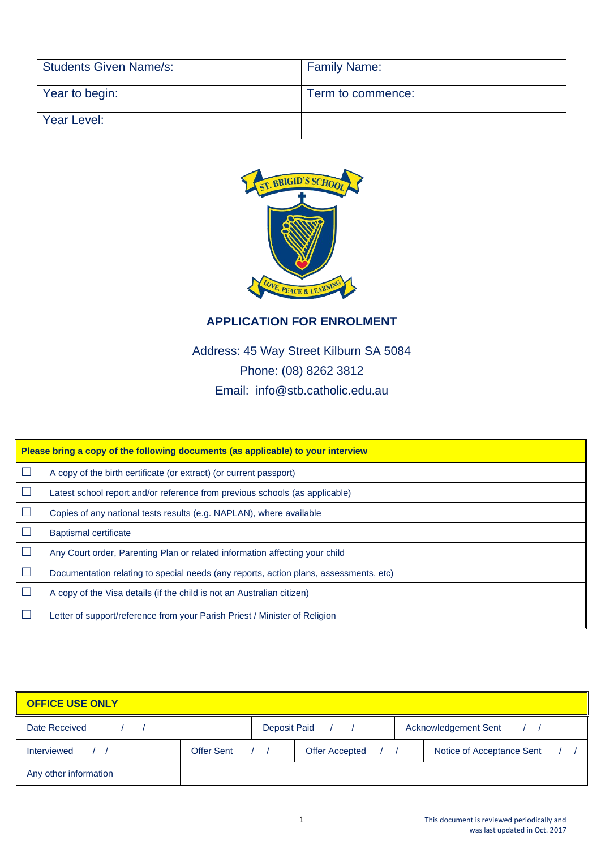| <b>Students Given Name/s:</b> | <b>Family Name:</b> |
|-------------------------------|---------------------|
| Year to begin:                | Term to commence:   |
| Year Level:                   |                     |



## **APPLICATION FOR ENROLMENT**

Address: 45 Way Street Kilburn SA 5084 Phone: (08) 8262 3812 Email: info@stb.catholic.edu.au

| Please bring a copy of the following documents (as applicable) to your interview |                                                                                       |  |  |  |
|----------------------------------------------------------------------------------|---------------------------------------------------------------------------------------|--|--|--|
|                                                                                  | A copy of the birth certificate (or extract) (or current passport)                    |  |  |  |
|                                                                                  | Latest school report and/or reference from previous schools (as applicable)           |  |  |  |
|                                                                                  | Copies of any national tests results (e.g. NAPLAN), where available                   |  |  |  |
|                                                                                  | <b>Baptismal certificate</b>                                                          |  |  |  |
|                                                                                  | Any Court order, Parenting Plan or related information affecting your child           |  |  |  |
|                                                                                  | Documentation relating to special needs (any reports, action plans, assessments, etc) |  |  |  |
|                                                                                  | A copy of the Visa details (if the child is not an Australian citizen)                |  |  |  |
|                                                                                  | Letter of support/reference from your Parish Priest / Minister of Religion            |  |  |  |

| <b>OFFICE USE ONLY</b> |                   |                  |                             |  |                           |  |
|------------------------|-------------------|------------------|-----------------------------|--|---------------------------|--|
| Date Received          |                   | Deposit Paid / / | <b>Acknowledgement Sent</b> |  |                           |  |
| Interviewed            | <b>Offer Sent</b> |                  | Offer Accepted / /          |  | Notice of Acceptance Sent |  |
| Any other information  |                   |                  |                             |  |                           |  |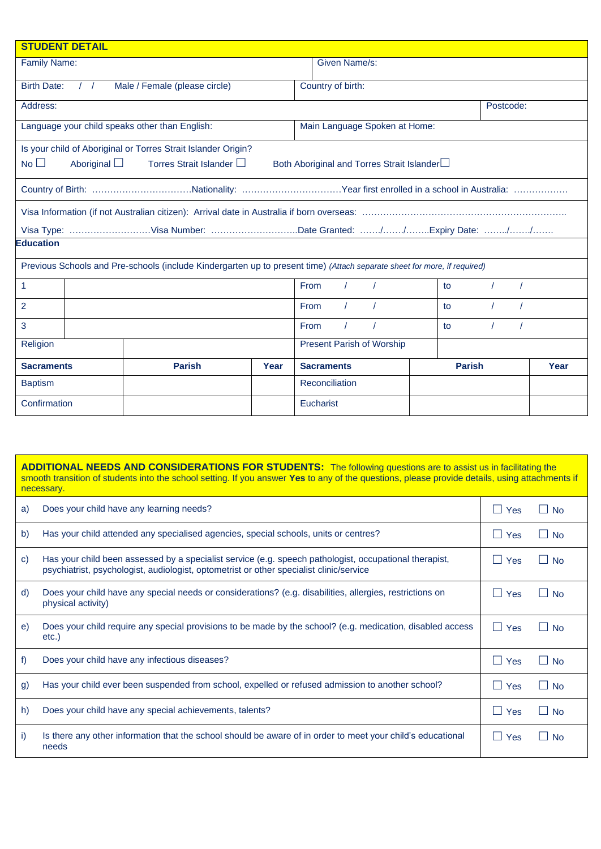| <b>STUDENT DETAIL</b> |                                                                                                                                                              |                                                                                                                          |      |                                  |               |           |      |
|-----------------------|--------------------------------------------------------------------------------------------------------------------------------------------------------------|--------------------------------------------------------------------------------------------------------------------------|------|----------------------------------|---------------|-----------|------|
|                       | <b>Family Name:</b><br>Given Name/s:                                                                                                                         |                                                                                                                          |      |                                  |               |           |      |
| <b>Birth Date:</b>    | $\frac{1}{2}$                                                                                                                                                | Male / Female (please circle)                                                                                            |      | Country of birth:                |               |           |      |
| Address:              |                                                                                                                                                              |                                                                                                                          |      |                                  |               | Postcode: |      |
|                       |                                                                                                                                                              | Language your child speaks other than English:                                                                           |      | Main Language Spoken at Home:    |               |           |      |
| No <sub>1</sub>       | Is your child of Aboriginal or Torres Strait Islander Origin?<br>Aboriginal $\Box$<br>Torres Strait Islander □<br>Both Aboriginal and Torres Strait Islander |                                                                                                                          |      |                                  |               |           |      |
|                       |                                                                                                                                                              |                                                                                                                          |      |                                  |               |           |      |
|                       |                                                                                                                                                              |                                                                                                                          |      |                                  |               |           |      |
| <b>Education</b>      |                                                                                                                                                              |                                                                                                                          |      |                                  |               |           |      |
|                       |                                                                                                                                                              | Previous Schools and Pre-schools (include Kindergarten up to present time) (Attach separate sheet for more, if required) |      |                                  |               |           |      |
| $\mathbf{1}$          |                                                                                                                                                              |                                                                                                                          |      | <b>From</b>                      | to            |           |      |
| $\overline{2}$        |                                                                                                                                                              |                                                                                                                          |      | <b>From</b>                      | to            |           |      |
| 3                     | From<br>to                                                                                                                                                   |                                                                                                                          |      |                                  |               |           |      |
| Religion              |                                                                                                                                                              |                                                                                                                          |      | <b>Present Parish of Worship</b> |               |           |      |
| <b>Sacraments</b>     |                                                                                                                                                              | <b>Parish</b>                                                                                                            | Year | <b>Sacraments</b>                | <b>Parish</b> |           | Year |
| <b>Baptism</b>        |                                                                                                                                                              | <b>Reconciliation</b>                                                                                                    |      |                                  |               |           |      |
| Confirmation          |                                                                                                                                                              | Eucharist                                                                                                                |      |                                  |               |           |      |

| <b>ADDITIONAL NEEDS AND CONSIDERATIONS FOR STUDENTS:</b> The following questions are to assist us in facilitating the<br>smooth transition of students into the school setting. If you answer Yes to any of the questions, please provide details, using attachments if<br>necessary. |                                                                                                                                                                                                   |            |                           |  |  |
|---------------------------------------------------------------------------------------------------------------------------------------------------------------------------------------------------------------------------------------------------------------------------------------|---------------------------------------------------------------------------------------------------------------------------------------------------------------------------------------------------|------------|---------------------------|--|--|
| a)                                                                                                                                                                                                                                                                                    | Does your child have any learning needs?                                                                                                                                                          | $\Box$ Yes | <b>No</b><br>$\mathbf{I}$ |  |  |
| b)                                                                                                                                                                                                                                                                                    | Has your child attended any specialised agencies, special schools, units or centres?                                                                                                              | $\Box$ Yes | <b>No</b>                 |  |  |
| $\mathbf{C}$                                                                                                                                                                                                                                                                          | Has your child been assessed by a specialist service (e.g. speech pathologist, occupational therapist,<br>psychiatrist, psychologist, audiologist, optometrist or other specialist clinic/service | $\Box$ Yes | <b>No</b><br>- 1          |  |  |
| d)                                                                                                                                                                                                                                                                                    | Does your child have any special needs or considerations? (e.g. disabilities, allergies, restrictions on<br>physical activity)                                                                    | $\Box$ Yes | <b>No</b>                 |  |  |
| e)                                                                                                                                                                                                                                                                                    | Does your child require any special provisions to be made by the school? (e.g. medication, disabled access<br>$etc.$ )                                                                            | $\Box$ Yes | ⊟ No                      |  |  |
| f                                                                                                                                                                                                                                                                                     | Does your child have any infectious diseases?                                                                                                                                                     | $\Box$ Yes | <b>No</b>                 |  |  |
| $\mathfrak{g}$                                                                                                                                                                                                                                                                        | Has your child ever been suspended from school, expelled or refused admission to another school?                                                                                                  | $\Box$ Yes | <b>No</b>                 |  |  |
| h)                                                                                                                                                                                                                                                                                    | Does your child have any special achievements, talents?                                                                                                                                           | $\Box$ Yes | ⊟ No                      |  |  |
| i)                                                                                                                                                                                                                                                                                    | Is there any other information that the school should be aware of in order to meet your child's educational<br>needs                                                                              | $\Box$ Yes | <b>No</b><br>$\mathbf{I}$ |  |  |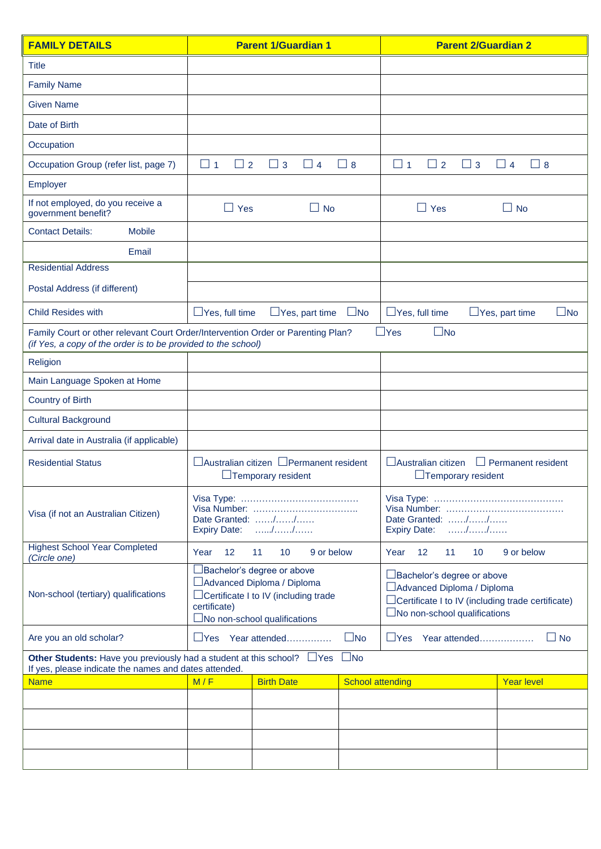| <b>FAMILY DETAILS</b>                                                                                                                             | <b>Parent 1/Guardian 1</b>                                                                                                                                     |                                       | <b>Parent 2/Guardian 2</b>                                                                                                                                      |                                                   |                                       |  |
|---------------------------------------------------------------------------------------------------------------------------------------------------|----------------------------------------------------------------------------------------------------------------------------------------------------------------|---------------------------------------|-----------------------------------------------------------------------------------------------------------------------------------------------------------------|---------------------------------------------------|---------------------------------------|--|
| <b>Title</b>                                                                                                                                      |                                                                                                                                                                |                                       |                                                                                                                                                                 |                                                   |                                       |  |
| <b>Family Name</b>                                                                                                                                |                                                                                                                                                                |                                       |                                                                                                                                                                 |                                                   |                                       |  |
| <b>Given Name</b>                                                                                                                                 |                                                                                                                                                                |                                       |                                                                                                                                                                 |                                                   |                                       |  |
| Date of Birth                                                                                                                                     |                                                                                                                                                                |                                       |                                                                                                                                                                 |                                                   |                                       |  |
| Occupation                                                                                                                                        |                                                                                                                                                                |                                       |                                                                                                                                                                 |                                                   |                                       |  |
| Occupation Group (refer list, page 7)                                                                                                             | $\Box$ 1<br>$\Box$ 2                                                                                                                                           | $\Box$ 3<br>$\Box$ 4                  | $\Box$ 8                                                                                                                                                        | $\square$ 1<br>$\Box$ 3<br>$\sqcup$ 2             | $\Box$ 4<br>$\Box$ 8                  |  |
| Employer                                                                                                                                          |                                                                                                                                                                |                                       |                                                                                                                                                                 |                                                   |                                       |  |
| If not employed, do you receive a<br>government benefit?                                                                                          | $\Box$ Yes                                                                                                                                                     | $\Box$ No                             |                                                                                                                                                                 | $\Box$ Yes                                        | $\Box$ No                             |  |
| <b>Contact Details:</b><br><b>Mobile</b>                                                                                                          |                                                                                                                                                                |                                       |                                                                                                                                                                 |                                                   |                                       |  |
| Email                                                                                                                                             |                                                                                                                                                                |                                       |                                                                                                                                                                 |                                                   |                                       |  |
| <b>Residential Address</b>                                                                                                                        |                                                                                                                                                                |                                       |                                                                                                                                                                 |                                                   |                                       |  |
| Postal Address (if different)                                                                                                                     |                                                                                                                                                                |                                       |                                                                                                                                                                 |                                                   |                                       |  |
| <b>Child Resides with</b>                                                                                                                         | $\Box$ Yes, full time                                                                                                                                          | $\Box$ Yes, part time                 | $\square$ No                                                                                                                                                    | $\Box$ Yes, full time                             | $\square$ No<br>$\Box$ Yes, part time |  |
| Family Court or other relevant Court Order/Intervention Order or Parenting Plan?<br>(if Yes, a copy of the order is to be provided to the school) |                                                                                                                                                                |                                       |                                                                                                                                                                 | $\Box$ Yes<br>$\square$ No                        |                                       |  |
| Religion                                                                                                                                          |                                                                                                                                                                |                                       |                                                                                                                                                                 |                                                   |                                       |  |
| Main Language Spoken at Home                                                                                                                      |                                                                                                                                                                |                                       |                                                                                                                                                                 |                                                   |                                       |  |
| <b>Country of Birth</b>                                                                                                                           |                                                                                                                                                                |                                       |                                                                                                                                                                 |                                                   |                                       |  |
| <b>Cultural Background</b>                                                                                                                        |                                                                                                                                                                |                                       |                                                                                                                                                                 |                                                   |                                       |  |
| Arrival date in Australia (if applicable)                                                                                                         |                                                                                                                                                                |                                       |                                                                                                                                                                 |                                                   |                                       |  |
| <b>Residential Status</b>                                                                                                                         | □ Australian citizen □ Permanent resident<br>$\Box$ Temporary resident                                                                                         |                                       | $\Box$ Australian citizen<br>$\Box$ Permanent resident<br>$\Box$ Temporary resident                                                                             |                                                   |                                       |  |
| Visa (if not an Australian Citizen)                                                                                                               | Date Granted: $\ldots$ , $\ldots$ , $\ldots$ ,<br>Expiry Date: //                                                                                              |                                       | Date Granted: //<br>Expiry Date: //                                                                                                                             |                                                   |                                       |  |
| <b>Highest School Year Completed</b><br>(Circle one)                                                                                              | 12<br>Year                                                                                                                                                     | 11<br>10<br>9 or below                |                                                                                                                                                                 | 12<br>11<br>10 <sup>1</sup><br>9 or below<br>Year |                                       |  |
| Non-school (tertiary) qualifications                                                                                                              | □Bachelor's degree or above<br>□ Advanced Diploma / Diploma<br>□Certificate I to IV (including trade<br>certificate)<br>$\square$ No non-school qualifications |                                       | □ Bachelor's degree or above<br>□ Advanced Diploma / Diploma<br>$\Box$ Certificate I to IV (including trade certificate)<br>$\Box$ No non-school qualifications |                                                   |                                       |  |
| $\square$ No<br>Are you an old scholar?<br>$\Box$ Yes<br>Year attended                                                                            |                                                                                                                                                                | $\Box$ No<br>$\Box$ Yes Year attended |                                                                                                                                                                 |                                                   |                                       |  |
| Other Students: Have you previously had a student at this school? $\Box$ Yes<br>If yes, please indicate the names and dates attended.             |                                                                                                                                                                |                                       | $\square$ No                                                                                                                                                    |                                                   |                                       |  |
| <b>Name</b>                                                                                                                                       | M/F                                                                                                                                                            | <b>Birth Date</b>                     |                                                                                                                                                                 | <b>School attending</b>                           | <b>Year level</b>                     |  |
|                                                                                                                                                   |                                                                                                                                                                |                                       |                                                                                                                                                                 |                                                   |                                       |  |
|                                                                                                                                                   |                                                                                                                                                                |                                       |                                                                                                                                                                 |                                                   |                                       |  |
|                                                                                                                                                   |                                                                                                                                                                |                                       |                                                                                                                                                                 |                                                   |                                       |  |
|                                                                                                                                                   |                                                                                                                                                                |                                       |                                                                                                                                                                 |                                                   |                                       |  |